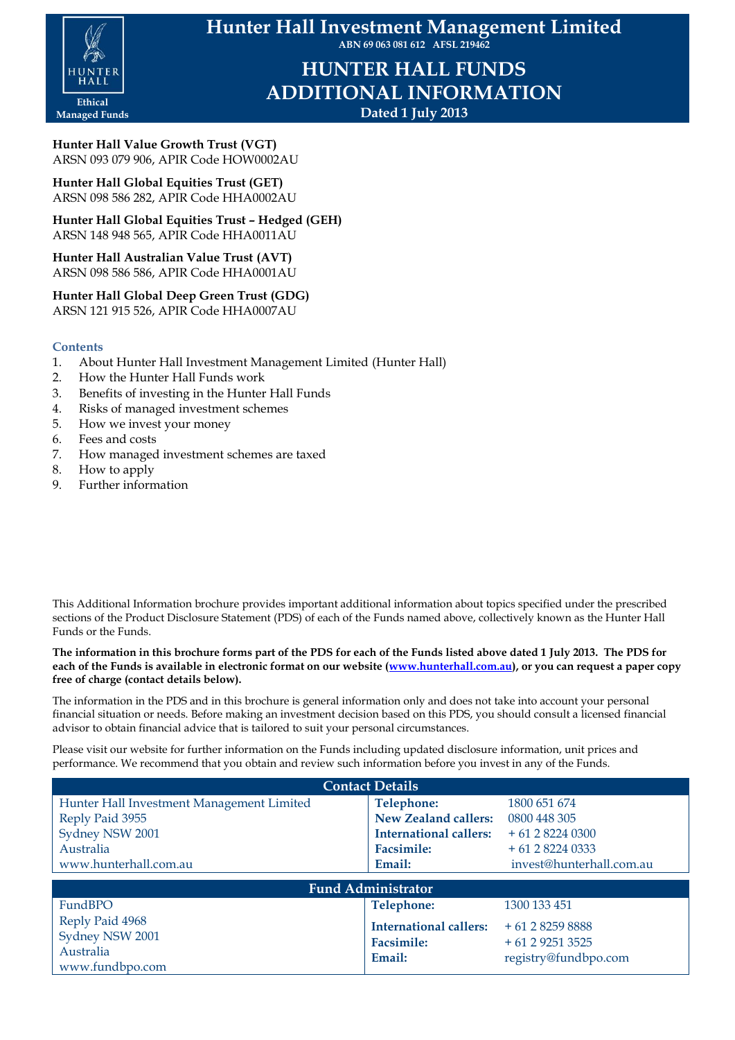

**Hunter Hall Investment Management Limited ABN 69 063 081 612 AFSL 219462**

> **HUNTER HALL FUNDS ADDITIONAL INFORMATION Dated 1 July 2013**

**Hunter Hall Value Growth Trust (VGT)** ARSN 093 079 906, APIR Code HOW0002AU

**Hunter Hall Global Equities Trust (GET)** ARSN 098 586 282, APIR Code HHA0002AU

**Hunter Hall Global Equities Trust – Hedged (GEH)** ARSN 148 948 565, APIR Code HHA0011AU

**Hunter Hall Australian Value Trust (AVT)** ARSN 098 586 586, APIR Code HHA0001AU

# **Hunter Hall Global Deep Green Trust (GDG)**

ARSN 121 915 526, APIR Code HHA0007AU

# **Contents**

- 1. About Hunter Hall Investment Management Limited (Hunter Hall)
- 2. How the Hunter Hall Funds work
- 3. Benefits of investing in the Hunter Hall Funds
- 4. Risks of managed investment schemes
- 5. How we invest your money
- 6. Fees and costs
- 7. How managed investment schemes are taxed
- 8. How to apply
- 9. Further information

This Additional Information brochure provides important additional information about topics specified under the prescribed sections of the Product Disclosure Statement (PDS) of each of the Funds named above, collectively known as the Hunter Hall Funds or the Funds.

**The information in this brochure forms part of the PDS for each of the Funds listed above dated 1 July 2013. The PDS for each of the Funds is available in electronic format on our website [\(www.hunterhall.com.au\)](http://www.hunterhall.com.au/), or you can request a paper copy free of charge (contact details below).**

The information in the PDS and in this brochure is general information only and does not take into account your personal financial situation or needs. Before making an investment decision based on this PDS, you should consult a licensed financial advisor to obtain financial advice that is tailored to suit your personal circumstances.

Please visit our website for further information on the Funds including updated disclosure information, unit prices and performance. We recommend that you obtain and review such information before you invest in any of the Funds.

| <b>Contact Details</b>                                             |                                                              |                                                          |  |  |  |
|--------------------------------------------------------------------|--------------------------------------------------------------|----------------------------------------------------------|--|--|--|
| Hunter Hall Investment Management Limited                          | <b>Telephone:</b>                                            | 1800 651 674                                             |  |  |  |
| Reply Paid 3955                                                    | <b>New Zealand callers:</b>                                  | 0800 448 305                                             |  |  |  |
| Sydney NSW 2001                                                    | <b>International callers:</b>                                | $+61$ 2 8224 0300                                        |  |  |  |
| Australia                                                          | <b>Facsimile:</b>                                            | $+61282240333$                                           |  |  |  |
| www.hunterhall.com.au                                              | Email:                                                       | invest@hunterhall.com.au                                 |  |  |  |
| <b>Fund Administrator</b>                                          |                                                              |                                                          |  |  |  |
| FundBPO                                                            | Telephone:                                                   | 1300 133 451                                             |  |  |  |
| Reply Paid 4968<br>Sydney NSW 2001<br>Australia<br>www.fundbpo.com | <b>International callers:</b><br><b>Facsimile:</b><br>Email: | $+61282598888$<br>$+61292513525$<br>registry@fundbpo.com |  |  |  |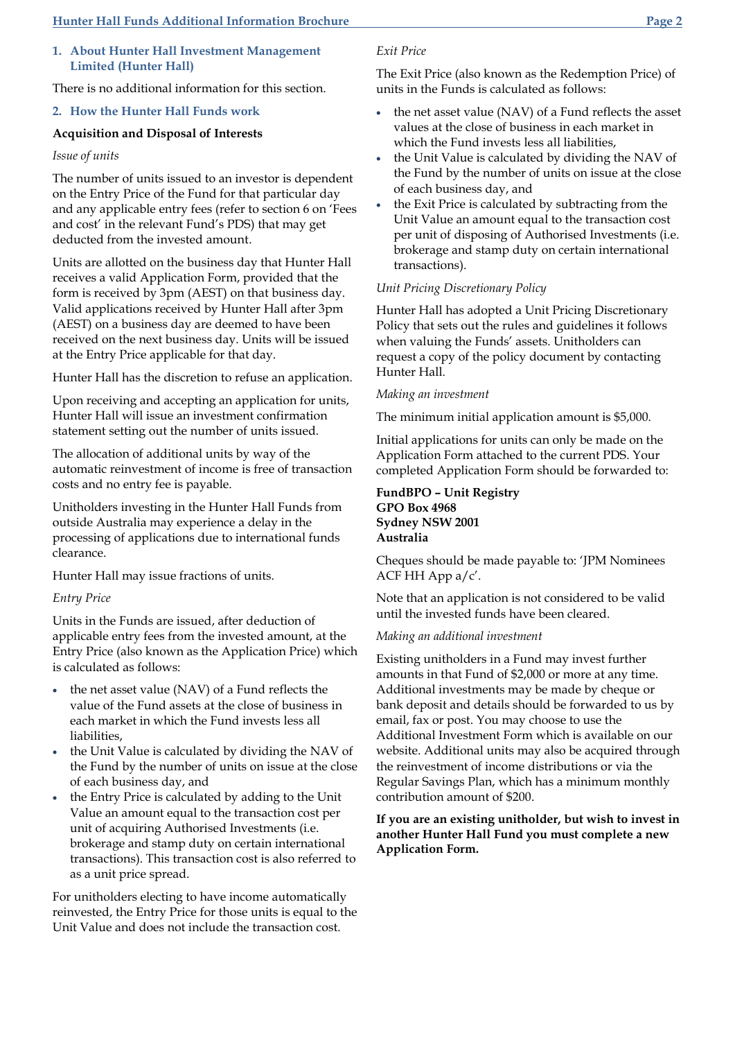### **1. About Hunter Hall Investment Management Limited (Hunter Hall)**

There is no additional information for this section.

### **2. How the Hunter Hall Funds work**

### **Acquisition and Disposal of Interests**

#### *Issue of units*

The number of units issued to an investor is dependent on the Entry Price of the Fund for that particular day and any applicable entry fees (refer to section 6 on 'Fees and cost' in the relevant Fund's PDS) that may get deducted from the invested amount.

Units are allotted on the business day that Hunter Hall receives a valid Application Form, provided that the form is received by 3pm (AEST) on that business day. Valid applications received by Hunter Hall after 3pm (AEST) on a business day are deemed to have been received on the next business day. Units will be issued at the Entry Price applicable for that day.

Hunter Hall has the discretion to refuse an application.

Upon receiving and accepting an application for units, Hunter Hall will issue an investment confirmation statement setting out the number of units issued.

The allocation of additional units by way of the automatic reinvestment of income is free of transaction costs and no entry fee is payable.

Unitholders investing in the Hunter Hall Funds from outside Australia may experience a delay in the processing of applications due to international funds clearance.

Hunter Hall may issue fractions of units.

### *Entry Price*

Units in the Funds are issued, after deduction of applicable entry fees from the invested amount, at the Entry Price (also known as the Application Price) which is calculated as follows:

- the net asset value (NAV) of a Fund reflects the value of the Fund assets at the close of business in each market in which the Fund invests less all liabilities,
- the Unit Value is calculated by dividing the NAV of the Fund by the number of units on issue at the close of each business day, and
- the Entry Price is calculated by adding to the Unit Value an amount equal to the transaction cost per unit of acquiring Authorised Investments (i.e. brokerage and stamp duty on certain international transactions). This transaction cost is also referred to as a unit price spread.

For unitholders electing to have income automatically reinvested, the Entry Price for those units is equal to the Unit Value and does not include the transaction cost.

# *Exit Price*

The Exit Price (also known as the Redemption Price) of units in the Funds is calculated as follows:

- the net asset value (NAV) of a Fund reflects the asset values at the close of business in each market in which the Fund invests less all liabilities,
- the Unit Value is calculated by dividing the NAV of the Fund by the number of units on issue at the close of each business day, and
- the Exit Price is calculated by subtracting from the Unit Value an amount equal to the transaction cost per unit of disposing of Authorised Investments (i.e. brokerage and stamp duty on certain international transactions).

### *Unit Pricing Discretionary Policy*

Hunter Hall has adopted a Unit Pricing Discretionary Policy that sets out the rules and guidelines it follows when valuing the Funds' assets. Unitholders can request a copy of the policy document by contacting Hunter Hall.

#### *Making an investment*

The minimum initial application amount is \$5,000.

Initial applications for units can only be made on the Application Form attached to the current PDS. Your completed Application Form should be forwarded to:

### **FundBPO – Unit Registry GPO Box 4968 Sydney NSW 2001 Australia**

Cheques should be made payable to: 'JPM Nominees ACF HH App a/c'.

Note that an application is not considered to be valid until the invested funds have been cleared.

#### *Making an additional investment*

Existing unitholders in a Fund may invest further amounts in that Fund of \$2,000 or more at any time. Additional investments may be made by cheque or bank deposit and details should be forwarded to us by email, fax or post. You may choose to use the Additional Investment Form which is available on our website. Additional units may also be acquired through the reinvestment of income distributions or via the Regular Savings Plan, which has a minimum monthly contribution amount of \$200.

**If you are an existing unitholder, but wish to invest in another Hunter Hall Fund you must complete a new Application Form.**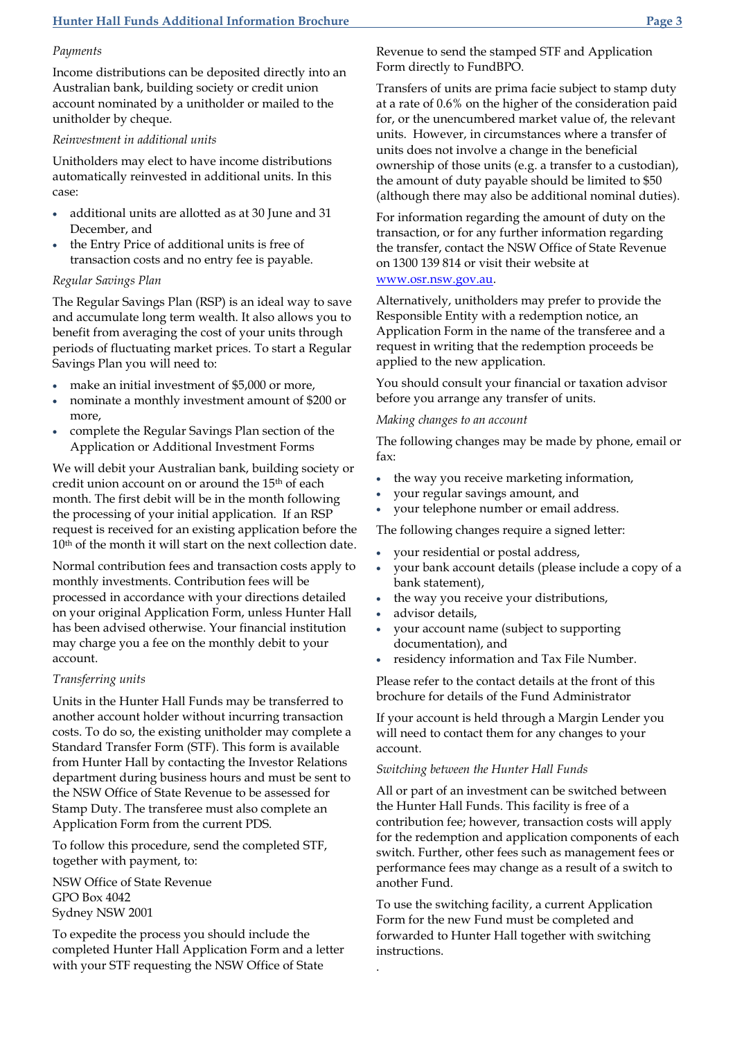# *Payments*

Income distributions can be deposited directly into an Australian bank, building society or credit union account nominated by a unitholder or mailed to the unitholder by cheque.

# *Reinvestment in additional units*

Unitholders may elect to have income distributions automatically reinvested in additional units. In this case:

- additional units are allotted as at 30 June and 31 December, and
- the Entry Price of additional units is free of transaction costs and no entry fee is payable.

# *Regular Savings Plan*

The Regular Savings Plan (RSP) is an ideal way to save and accumulate long term wealth. It also allows you to benefit from averaging the cost of your units through periods of fluctuating market prices. To start a Regular Savings Plan you will need to:

- make an initial investment of \$5,000 or more,
- nominate a monthly investment amount of \$200 or more,
- complete the Regular Savings Plan section of the Application or Additional Investment Forms

We will debit your Australian bank, building society or credit union account on or around the 15th of each month. The first debit will be in the month following the processing of your initial application. If an RSP request is received for an existing application before the 10th of the month it will start on the next collection date.

Normal contribution fees and transaction costs apply to monthly investments. Contribution fees will be processed in accordance with your directions detailed on your original Application Form, unless Hunter Hall has been advised otherwise. Your financial institution may charge you a fee on the monthly debit to your account.

# *Transferring units*

Units in the Hunter Hall Funds may be transferred to another account holder without incurring transaction costs. To do so, the existing unitholder may complete a Standard Transfer Form (STF). This form is available from Hunter Hall by contacting the Investor Relations department during business hours and must be sent to the NSW Office of State Revenue to be assessed for Stamp Duty. The transferee must also complete an Application Form from the current PDS.

To follow this procedure, send the completed STF, together with payment, to:

NSW Office of State Revenue GPO Box 4042 Sydney NSW 2001

To expedite the process you should include the completed Hunter Hall Application Form and a letter with your STF requesting the NSW Office of State

Revenue to send the stamped STF and Application Form directly to FundBPO.

Transfers of units are prima facie subject to stamp duty at a rate of 0.6% on the higher of the consideration paid for, or the unencumbered market value of, the relevant units. However, in circumstances where a transfer of units does not involve a change in the beneficial ownership of those units (e.g. a transfer to a custodian), the amount of duty payable should be limited to \$50 (although there may also be additional nominal duties).

For information regarding the amount of duty on the transaction, or for any further information regarding the transfer, contact the NSW Office of State Revenue on 1300 139 814 or visit their website at [www.osr.nsw.gov.au.](http://www.osr.nsw.gov.au/)

Alternatively, unitholders may prefer to provide the Responsible Entity with a redemption notice, an Application Form in the name of the transferee and a request in writing that the redemption proceeds be applied to the new application.

You should consult your financial or taxation advisor before you arrange any transfer of units.

*Making changes to an account*

The following changes may be made by phone, email or fax:

- the way you receive marketing information,
- your regular savings amount, and
- your telephone number or email address.

The following changes require a signed letter:

- your residential or postal address,
- your bank account details (please include a copy of a bank statement),
- the way you receive your distributions,
- advisor details,

.

- your account name (subject to supporting documentation), and
- residency information and Tax File Number.

Please refer to the contact details at the front of this brochure for details of the Fund Administrator

If your account is held through a Margin Lender you will need to contact them for any changes to your account.

*Switching between the Hunter Hall Funds*

All or part of an investment can be switched between the Hunter Hall Funds. This facility is free of a contribution fee; however, transaction costs will apply for the redemption and application components of each switch. Further, other fees such as management fees or performance fees may change as a result of a switch to another Fund.

To use the switching facility, a current Application Form for the new Fund must be completed and forwarded to Hunter Hall together with switching instructions.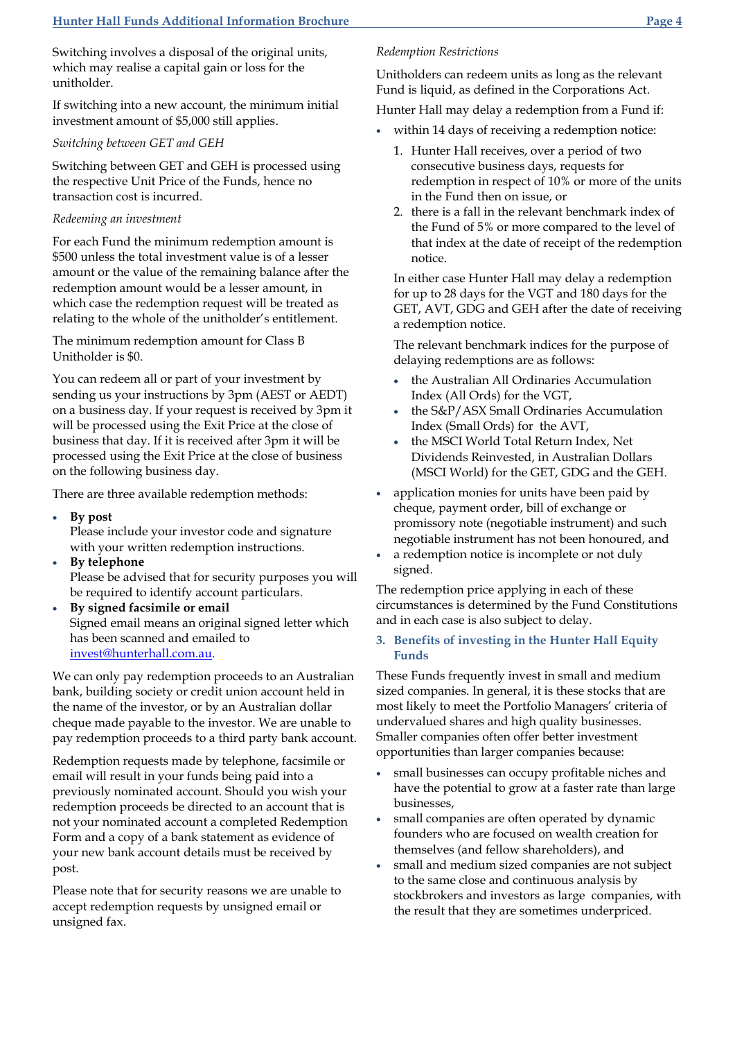Switching involves a disposal of the original units, which may realise a capital gain or loss for the unitholder.

If switching into a new account, the minimum initial investment amount of \$5,000 still applies.

### *Switching between GET and GEH*

Switching between GET and GEH is processed using the respective Unit Price of the Funds, hence no transaction cost is incurred.

# *Redeeming an investment*

For each Fund the minimum redemption amount is \$500 unless the total investment value is of a lesser amount or the value of the remaining balance after the redemption amount would be a lesser amount, in which case the redemption request will be treated as relating to the whole of the unitholder's entitlement.

The minimum redemption amount for Class B Unitholder is \$0.

You can redeem all or part of your investment by sending us your instructions by 3pm (AEST or AEDT) on a business day. If your request is received by 3pm it will be processed using the Exit Price at the close of business that day. If it is received after 3pm it will be processed using the Exit Price at the close of business on the following business day.

There are three available redemption methods:

**By post**

Please include your investor code and signature with your written redemption instructions.

- **By telephone** Please be advised that for security purposes you will be required to identify account particulars.
- **By signed facsimile or email** Signed email means an original signed letter which has been scanned and emailed to [invest@hunterhall.com.au.](mailto:invest@hunterhall.com.au)

We can only pay redemption proceeds to an Australian bank, building society or credit union account held in the name of the investor, or by an Australian dollar cheque made payable to the investor. We are unable to pay redemption proceeds to a third party bank account.

Redemption requests made by telephone, facsimile or email will result in your funds being paid into a previously nominated account. Should you wish your redemption proceeds be directed to an account that is not your nominated account a completed Redemption Form and a copy of a bank statement as evidence of your new bank account details must be received by post.

Please note that for security reasons we are unable to accept redemption requests by unsigned email or unsigned fax.

# *Redemption Restrictions*

Unitholders can redeem units as long as the relevant Fund is liquid, as defined in the Corporations Act.

Hunter Hall may delay a redemption from a Fund if:

- within 14 days of receiving a redemption notice:
	- 1. Hunter Hall receives, over a period of two consecutive business days, requests for redemption in respect of 10% or more of the units in the Fund then on issue, or
	- 2. there is a fall in the relevant benchmark index of the Fund of 5% or more compared to the level of that index at the date of receipt of the redemption notice.

In either case Hunter Hall may delay a redemption for up to 28 days for the VGT and 180 days for the GET, AVT, GDG and GEH after the date of receiving a redemption notice.

The relevant benchmark indices for the purpose of delaying redemptions are as follows:

- the Australian All Ordinaries Accumulation Index (All Ords) for the VGT,
- the S&P/ASX Small Ordinaries Accumulation Index (Small Ords) for the AVT,
- the MSCI World Total Return Index, Net Dividends Reinvested, in Australian Dollars (MSCI World) for the GET, GDG and the GEH.
- application monies for units have been paid by cheque, payment order, bill of exchange or promissory note (negotiable instrument) and such negotiable instrument has not been honoured, and
- a redemption notice is incomplete or not duly signed.

The redemption price applying in each of these circumstances is determined by the Fund Constitutions and in each case is also subject to delay.

# **3. Benefits of investing in the Hunter Hall Equity Funds**

These Funds frequently invest in small and medium sized companies. In general, it is these stocks that are most likely to meet the Portfolio Managers' criteria of undervalued shares and high quality businesses. Smaller companies often offer better investment opportunities than larger companies because:

- small businesses can occupy profitable niches and have the potential to grow at a faster rate than large businesses,
- small companies are often operated by dynamic founders who are focused on wealth creation for themselves (and fellow shareholders), and
- small and medium sized companies are not subject to the same close and continuous analysis by stockbrokers and investors as large companies, with the result that they are sometimes underpriced.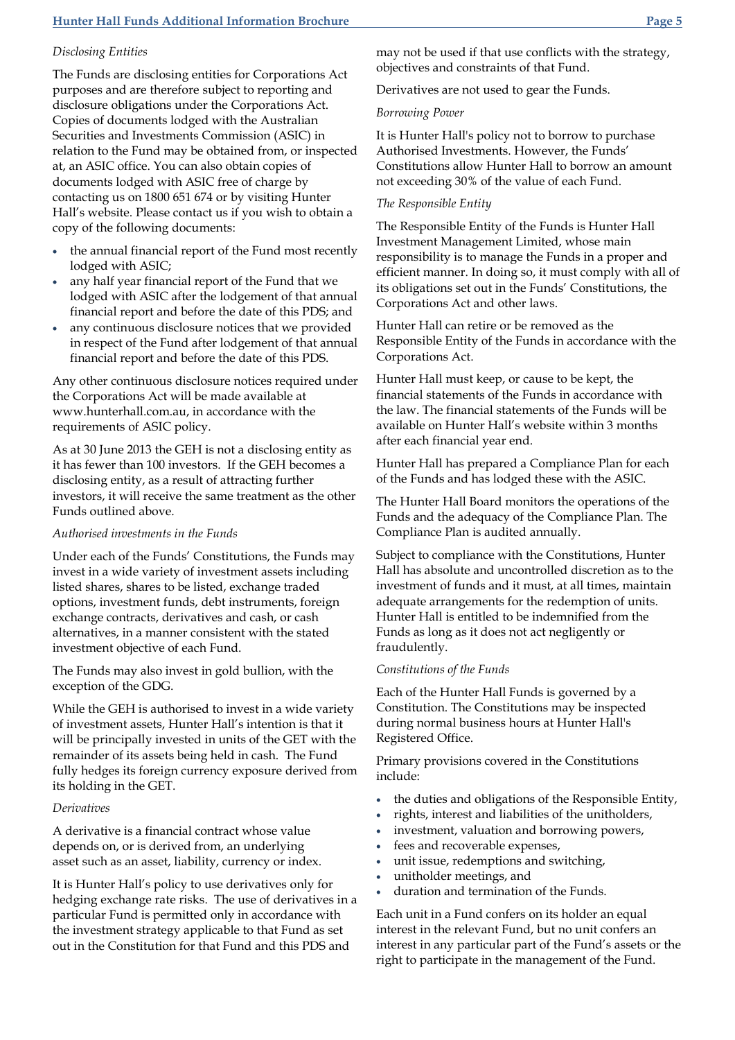# **Hunter Hall Funds Additional Information Brochure Page 5**

### *Disclosing Entities*

The Funds are disclosing entities for Corporations Act purposes and are therefore subject to reporting and disclosure obligations under the Corporations Act. Copies of documents lodged with the Australian Securities and Investments Commission (ASIC) in relation to the Fund may be obtained from, or inspected at, an ASIC office. You can also obtain copies of documents lodged with ASIC free of charge by contacting us on 1800 651 674 or by visiting Hunter Hall's website. Please contact us if you wish to obtain a copy of the following documents:

- the annual financial report of the Fund most recently lodged with ASIC;
- any half year financial report of the Fund that we lodged with ASIC after the lodgement of that annual financial report and before the date of this PDS; and
- any continuous disclosure notices that we provided in respect of the Fund after lodgement of that annual financial report and before the date of this PDS.

Any other continuous disclosure notices required under the Corporations Act will be made available at www.hunterhall.com.au, in accordance with the requirements of ASIC policy.

As at 30 June 2013 the GEH is not a disclosing entity as it has fewer than 100 investors. If the GEH becomes a disclosing entity, as a result of attracting further investors, it will receive the same treatment as the other Funds outlined above.

### *Authorised investments in the Funds*

Under each of the Funds' Constitutions, the Funds may invest in a wide variety of investment assets including listed shares, shares to be listed, exchange traded options, investment funds, debt instruments, foreign exchange contracts, derivatives and cash, or cash alternatives, in a manner consistent with the stated investment objective of each Fund.

The Funds may also invest in gold bullion, with the exception of the GDG.

While the GEH is authorised to invest in a wide variety of investment assets, Hunter Hall's intention is that it will be principally invested in units of the GET with the remainder of its assets being held in cash. The Fund fully hedges its foreign currency exposure derived from its holding in the GET.

### *Derivatives*

A derivative is a financial contract whose value depends on, or is derived from, an underlying asset such as an asset, liability, currency or index.

It is Hunter Hall's policy to use derivatives only for hedging exchange rate risks. The use of derivatives in a particular Fund is permitted only in accordance with the investment strategy applicable to that Fund as set out in the Constitution for that Fund and this PDS and

may not be used if that use conflicts with the strategy, objectives and constraints of that Fund.

Derivatives are not used to gear the Funds.

#### *Borrowing Power*

It is Hunter Hall's policy not to borrow to purchase Authorised Investments. However, the Funds' Constitutions allow Hunter Hall to borrow an amount not exceeding 30% of the value of each Fund.

### *The Responsible Entity*

The Responsible Entity of the Funds is Hunter Hall Investment Management Limited, whose main responsibility is to manage the Funds in a proper and efficient manner. In doing so, it must comply with all of its obligations set out in the Funds' Constitutions, the Corporations Act and other laws.

Hunter Hall can retire or be removed as the Responsible Entity of the Funds in accordance with the Corporations Act.

Hunter Hall must keep, or cause to be kept, the financial statements of the Funds in accordance with the law. The financial statements of the Funds will be available on Hunter Hall's website within 3 months after each financial year end.

Hunter Hall has prepared a Compliance Plan for each of the Funds and has lodged these with the ASIC.

The Hunter Hall Board monitors the operations of the Funds and the adequacy of the Compliance Plan. The Compliance Plan is audited annually.

Subject to compliance with the Constitutions, Hunter Hall has absolute and uncontrolled discretion as to the investment of funds and it must, at all times, maintain adequate arrangements for the redemption of units. Hunter Hall is entitled to be indemnified from the Funds as long as it does not act negligently or fraudulently.

#### *Constitutions of the Funds*

Each of the Hunter Hall Funds is governed by a Constitution. The Constitutions may be inspected during normal business hours at Hunter Hall's Registered Office.

Primary provisions covered in the Constitutions include:

- the duties and obligations of the Responsible Entity,
- rights, interest and liabilities of the unitholders,
- investment, valuation and borrowing powers,
- fees and recoverable expenses,
- unit issue, redemptions and switching,
- unitholder meetings, and
- duration and termination of the Funds.

Each unit in a Fund confers on its holder an equal interest in the relevant Fund, but no unit confers an interest in any particular part of the Fund's assets or the right to participate in the management of the Fund.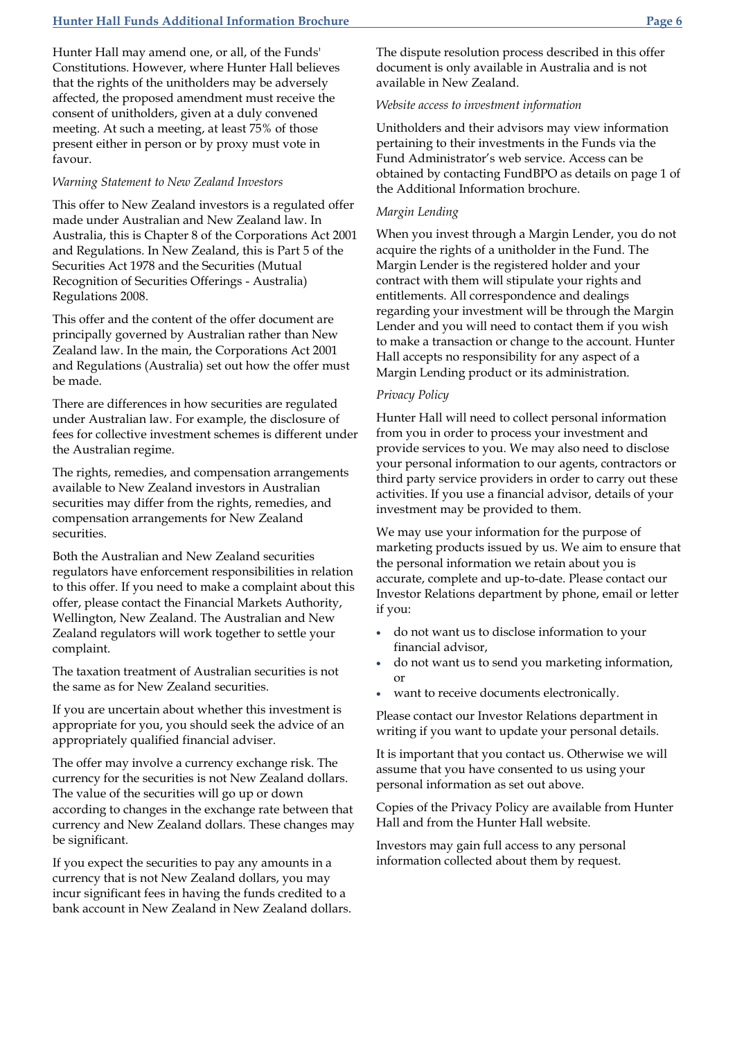Hunter Hall may amend one, or all, of the Funds' Constitutions. However, where Hunter Hall believes that the rights of the unitholders may be adversely affected, the proposed amendment must receive the consent of unitholders, given at a duly convened meeting. At such a meeting, at least 75% of those present either in person or by proxy must vote in favour.

### *Warning Statement to New Zealand Investors*

This offer to New Zealand investors is a regulated offer made under Australian and New Zealand law. In Australia, this is Chapter 8 of the Corporations Act 2001 and Regulations. In New Zealand, this is Part 5 of the Securities Act 1978 and the Securities (Mutual Recognition of Securities Offerings - Australia) Regulations 2008.

This offer and the content of the offer document are principally governed by Australian rather than New Zealand law. In the main, the Corporations Act 2001 and Regulations (Australia) set out how the offer must be made.

There are differences in how securities are regulated under Australian law. For example, the disclosure of fees for collective investment schemes is different under the Australian regime.

The rights, remedies, and compensation arrangements available to New Zealand investors in Australian securities may differ from the rights, remedies, and compensation arrangements for New Zealand securities.

Both the Australian and New Zealand securities regulators have enforcement responsibilities in relation to this offer. If you need to make a complaint about this offer, please contact the Financial Markets Authority, Wellington, New Zealand. The Australian and New Zealand regulators will work together to settle your complaint.

The taxation treatment of Australian securities is not the same as for New Zealand securities.

If you are uncertain about whether this investment is appropriate for you, you should seek the advice of an appropriately qualified financial adviser.

The offer may involve a currency exchange risk. The currency for the securities is not New Zealand dollars. The value of the securities will go up or down according to changes in the exchange rate between that currency and New Zealand dollars. These changes may be significant.

If you expect the securities to pay any amounts in a currency that is not New Zealand dollars, you may incur significant fees in having the funds credited to a bank account in New Zealand in New Zealand dollars. The dispute resolution process described in this offer document is only available in Australia and is not available in New Zealand.

# *Website access to investment information*

Unitholders and their advisors may view information pertaining to their investments in the Funds via the Fund Administrator's web service. Access can be obtained by contacting FundBPO as details on page 1 of the Additional Information brochure.

### *Margin Lending*

When you invest through a Margin Lender, you do not acquire the rights of a unitholder in the Fund. The Margin Lender is the registered holder and your contract with them will stipulate your rights and entitlements. All correspondence and dealings regarding your investment will be through the Margin Lender and you will need to contact them if you wish to make a transaction or change to the account. Hunter Hall accepts no responsibility for any aspect of a Margin Lending product or its administration.

### *Privacy Policy*

Hunter Hall will need to collect personal information from you in order to process your investment and provide services to you. We may also need to disclose your personal information to our agents, contractors or third party service providers in order to carry out these activities. If you use a financial advisor, details of your investment may be provided to them.

We may use your information for the purpose of marketing products issued by us. We aim to ensure that the personal information we retain about you is accurate, complete and up-to-date. Please contact our Investor Relations department by phone, email or letter if you:

- do not want us to disclose information to your financial advisor,
- do not want us to send you marketing information, or
- want to receive documents electronically.

Please contact our Investor Relations department in writing if you want to update your personal details.

It is important that you contact us. Otherwise we will assume that you have consented to us using your personal information as set out above.

Copies of the Privacy Policy are available from Hunter Hall and from the Hunter Hall website.

Investors may gain full access to any personal information collected about them by request.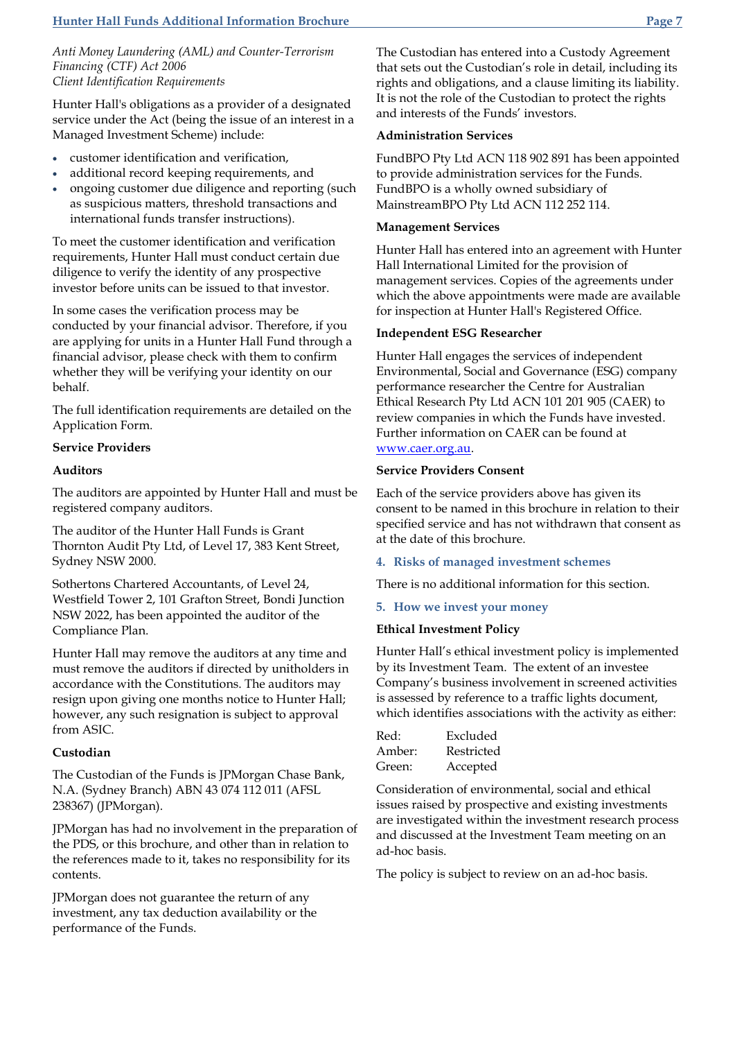*Anti Money Laundering (AML) and Counter-Terrorism Financing (CTF) Act 2006 Client Identification Requirements*

Hunter Hall's obligations as a provider of a designated service under the Act (being the issue of an interest in a Managed Investment Scheme) include:

- customer identification and verification,
- additional record keeping requirements, and
- ongoing customer due diligence and reporting (such as suspicious matters, threshold transactions and international funds transfer instructions).

To meet the customer identification and verification requirements, Hunter Hall must conduct certain due diligence to verify the identity of any prospective investor before units can be issued to that investor.

In some cases the verification process may be conducted by your financial advisor. Therefore, if you are applying for units in a Hunter Hall Fund through a financial advisor, please check with them to confirm whether they will be verifying your identity on our behalf.

The full identification requirements are detailed on the Application Form.

# **Service Providers**

### **Auditors**

The auditors are appointed by Hunter Hall and must be registered company auditors.

The auditor of the Hunter Hall Funds is Grant Thornton Audit Pty Ltd, of Level 17, 383 Kent Street, Sydney NSW 2000.

Sothertons Chartered Accountants, of Level 24, Westfield Tower 2, 101 Grafton Street, Bondi Junction NSW 2022, has been appointed the auditor of the Compliance Plan.

Hunter Hall may remove the auditors at any time and must remove the auditors if directed by unitholders in accordance with the Constitutions. The auditors may resign upon giving one months notice to Hunter Hall; however, any such resignation is subject to approval from ASIC.

### **Custodian**

The Custodian of the Funds is JPMorgan Chase Bank, N.A. (Sydney Branch) ABN 43 074 112 011 (AFSL 238367) (JPMorgan).

JPMorgan has had no involvement in the preparation of the PDS, or this brochure, and other than in relation to the references made to it, takes no responsibility for its contents.

JPMorgan does not guarantee the return of any investment, any tax deduction availability or the performance of the Funds.

The Custodian has entered into a Custody Agreement that sets out the Custodian's role in detail, including its rights and obligations, and a clause limiting its liability. It is not the role of the Custodian to protect the rights and interests of the Funds' investors.

### **Administration Services**

FundBPO Pty Ltd ACN 118 902 891 has been appointed to provide administration services for the Funds. FundBPO is a wholly owned subsidiary of MainstreamBPO Pty Ltd ACN 112 252 114.

### **Management Services**

Hunter Hall has entered into an agreement with Hunter Hall International Limited for the provision of management services. Copies of the agreements under which the above appointments were made are available for inspection at Hunter Hall's Registered Office.

### **Independent ESG Researcher**

Hunter Hall engages the services of independent Environmental, Social and Governance (ESG) company performance researcher the Centre for Australian Ethical Research Pty Ltd ACN 101 201 905 (CAER) to review companies in which the Funds have invested. Further information on CAER can be found at [www.caer.org.au.](http://www.caer.org.au/)

### **Service Providers Consent**

Each of the service providers above has given its consent to be named in this brochure in relation to their specified service and has not withdrawn that consent as at the date of this brochure.

# **4. Risks of managed investment schemes**

There is no additional information for this section.

#### **5. How we invest your money**

#### **Ethical Investment Policy**

Hunter Hall's ethical investment policy is implemented by its Investment Team. The extent of an investee Company's business involvement in screened activities is assessed by reference to a traffic lights document, which identifies associations with the activity as either:

| Red:   | Excluded   |
|--------|------------|
| Amber: | Restricted |
| Green: | Accepted   |

Consideration of environmental, social and ethical issues raised by prospective and existing investments are investigated within the investment research process and discussed at the Investment Team meeting on an ad-hoc basis.

The policy is subject to review on an ad-hoc basis.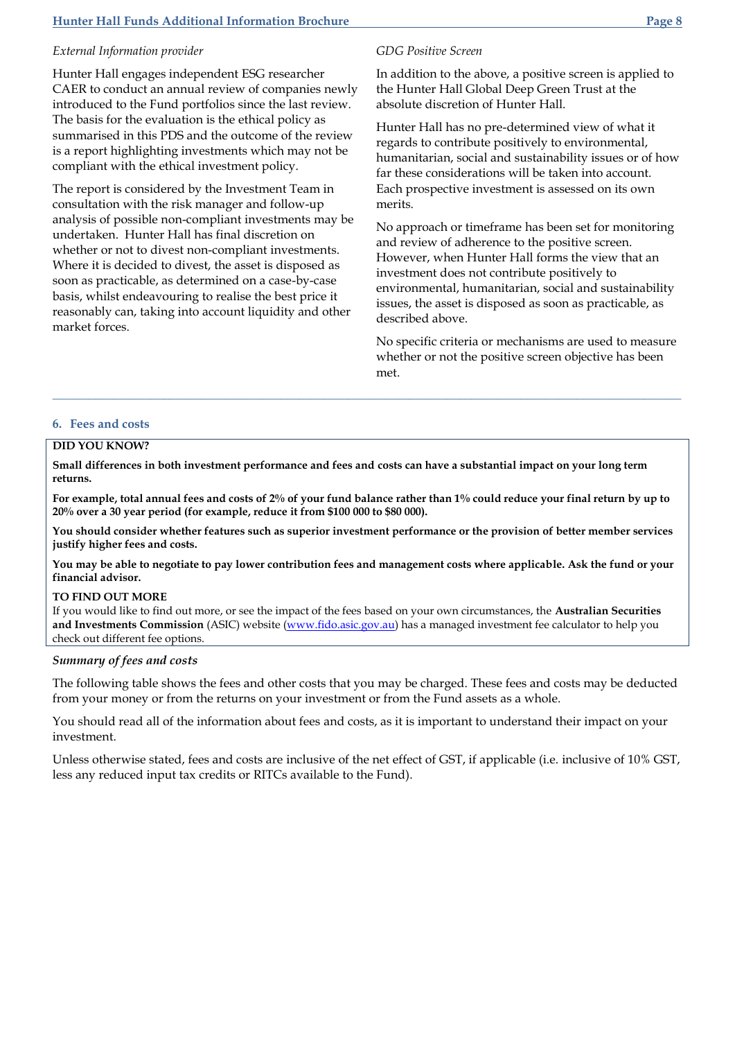# **Hunter Hall Funds Additional Information Brochure Page 8**

# *External Information provider*

Hunter Hall engages independent ESG researcher CAER to conduct an annual review of companies newly introduced to the Fund portfolios since the last review. The basis for the evaluation is the ethical policy as summarised in this PDS and the outcome of the review is a report highlighting investments which may not be compliant with the ethical investment policy.

The report is considered by the Investment Team in consultation with the risk manager and follow-up analysis of possible non-compliant investments may be undertaken. Hunter Hall has final discretion on whether or not to divest non-compliant investments. Where it is decided to divest, the asset is disposed as soon as practicable, as determined on a case-by-case basis, whilst endeavouring to realise the best price it reasonably can, taking into account liquidity and other market forces.

# *GDG Positive Screen*

In addition to the above, a positive screen is applied to the Hunter Hall Global Deep Green Trust at the absolute discretion of Hunter Hall.

Hunter Hall has no pre-determined view of what it regards to contribute positively to environmental, humanitarian, social and sustainability issues or of how far these considerations will be taken into account. Each prospective investment is assessed on its own merits.

No approach or timeframe has been set for monitoring and review of adherence to the positive screen. However, when Hunter Hall forms the view that an investment does not contribute positively to environmental, humanitarian, social and sustainability issues, the asset is disposed as soon as practicable, as described above.

No specific criteria or mechanisms are used to measure whether or not the positive screen objective has been met.

### **6. Fees and costs**

### **DID YOU KNOW?**

**Small differences in both investment performance and fees and costs can have a substantial impact on your long term returns.**

**For example, total annual fees and costs of 2% of your fund balance rather than 1% could reduce your final return by up to 20% over a 30 year period (for example, reduce it from \$100 000 to \$80 000).**

**\_\_\_\_\_\_\_\_\_\_\_\_\_\_\_\_\_\_\_\_\_\_\_\_\_\_\_\_\_\_\_\_\_\_\_\_\_\_\_\_\_\_\_\_\_\_\_\_\_\_\_\_\_\_\_\_\_\_\_\_\_\_\_\_\_\_\_\_\_\_\_\_\_\_\_\_\_\_\_\_\_\_\_\_\_\_\_\_\_\_\_\_\_\_\_\_\_\_\_\_\_\_**

**You should consider whether features such as superior investment performance or the provision of better member services justify higher fees and costs.**

**You may be able to negotiate to pay lower contribution fees and management costs where applicable. Ask the fund or your financial advisor.**

#### **TO FIND OUT MORE**

If you would like to find out more, or see the impact of the fees based on your own circumstances, the **Australian Securities and Investments Commission** (ASIC) website [\(www.fido.asic.gov.au\)](http://www.fido.asic.gov.au/) has a managed investment fee calculator to help you check out different fee options.

### *Summary of fees and costs*

The following table shows the fees and other costs that you may be charged. These fees and costs may be deducted from your money or from the returns on your investment or from the Fund assets as a whole.

You should read all of the information about fees and costs, as it is important to understand their impact on your investment.

Unless otherwise stated, fees and costs are inclusive of the net effect of GST, if applicable (i.e. inclusive of 10% GST, less any reduced input tax credits or RITCs available to the Fund).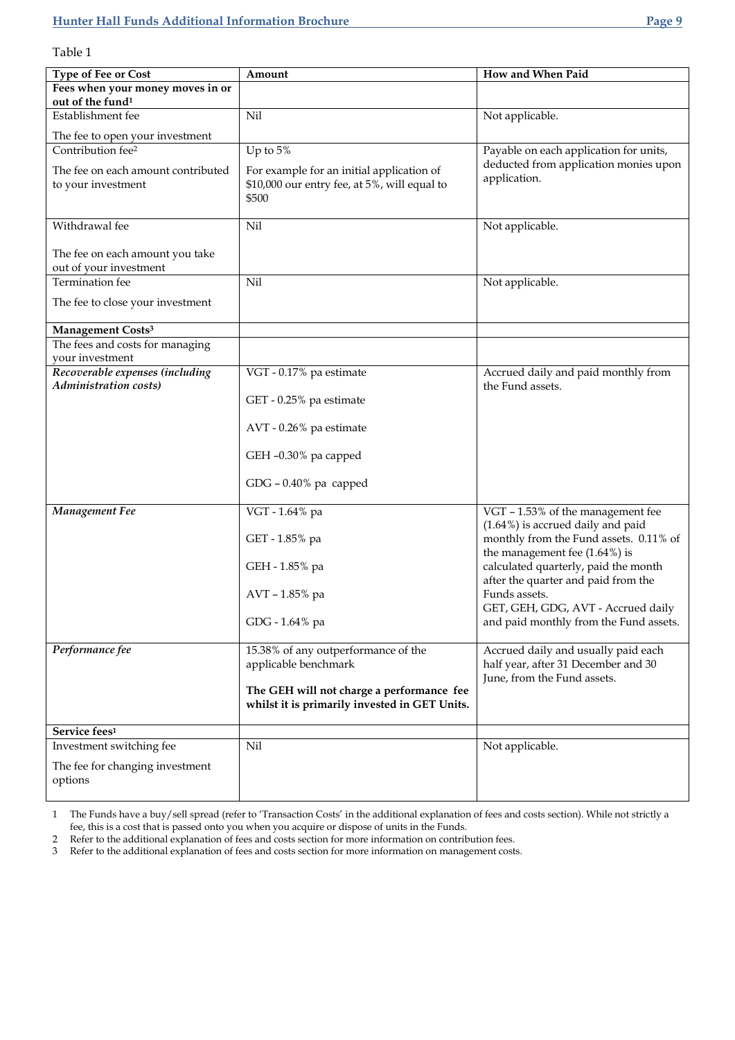Table 1

| Type of Fee or Cost                                      | Amount                                                | How and When Paid                                                           |
|----------------------------------------------------------|-------------------------------------------------------|-----------------------------------------------------------------------------|
| Fees when your money moves in or                         |                                                       |                                                                             |
| out of the fund <sup>1</sup>                             |                                                       |                                                                             |
| Establishment fee                                        | Nil                                                   | Not applicable.                                                             |
| The fee to open your investment                          |                                                       |                                                                             |
| Contribution fee <sup>2</sup>                            | Up to $5\%$                                           | Payable on each application for units,                                      |
| The fee on each amount contributed                       | For example for an initial application of             | deducted from application monies upon<br>application.                       |
| to your investment                                       | \$10,000 our entry fee, at 5%, will equal to<br>\$500 |                                                                             |
|                                                          |                                                       |                                                                             |
| Withdrawal fee                                           | Nil                                                   | Not applicable.                                                             |
|                                                          |                                                       |                                                                             |
| The fee on each amount you take                          |                                                       |                                                                             |
| out of your investment<br>Termination fee                | Nil                                                   | Not applicable.                                                             |
|                                                          |                                                       |                                                                             |
| The fee to close your investment                         |                                                       |                                                                             |
| Management Costs <sup>3</sup>                            |                                                       |                                                                             |
| The fees and costs for managing                          |                                                       |                                                                             |
| your investment                                          |                                                       |                                                                             |
| Recoverable expenses (including<br>Administration costs) | VGT - 0.17% pa estimate                               | Accrued daily and paid monthly from<br>the Fund assets.                     |
|                                                          | GET - 0.25% pa estimate                               |                                                                             |
|                                                          | AVT - 0.26% pa estimate                               |                                                                             |
|                                                          | GEH -0.30% pa capped                                  |                                                                             |
|                                                          | $GDG - 0.40\%$ pa capped                              |                                                                             |
| Management Fee                                           | VGT - 1.64% pa                                        | VGT - 1.53% of the management fee                                           |
|                                                          |                                                       | (1.64%) is accrued daily and paid<br>monthly from the Fund assets. 0.11% of |
|                                                          | GET - 1.85% pa                                        | the management fee $(1.64\%)$ is                                            |
|                                                          | GEH - 1.85% pa                                        | calculated quarterly, paid the month                                        |
|                                                          |                                                       | after the quarter and paid from the                                         |
|                                                          | AVT - 1.85% pa                                        | Funds assets.<br>GET, GEH, GDG, AVT - Accrued daily                         |
|                                                          | GDG - 1.64% pa                                        | and paid monthly from the Fund assets.                                      |
| Performance fee                                          | 15.38% of any outperformance of the                   | Accrued daily and usually paid each                                         |
|                                                          | applicable benchmark                                  | half year, after 31 December and 30                                         |
|                                                          |                                                       | June, from the Fund assets.                                                 |
|                                                          | The GEH will not charge a performance fee             |                                                                             |
|                                                          | whilst it is primarily invested in GET Units.         |                                                                             |
| Service fees <sup>1</sup>                                |                                                       |                                                                             |
| Investment switching fee                                 | Nil                                                   | Not applicable.                                                             |
| The fee for changing investment                          |                                                       |                                                                             |
| options                                                  |                                                       |                                                                             |
|                                                          |                                                       |                                                                             |

1 The Funds have a buy/sell spread (refer to 'Transaction Costs' in the additional explanation of fees and costs section). While not strictly a fee, this is a cost that is passed onto you when you acquire or dispose of units in the Funds.

2 Refer to the additional explanation of fees and costs section for more information on contribution fees.

3 Refer to the additional explanation of fees and costs section for more information on management costs.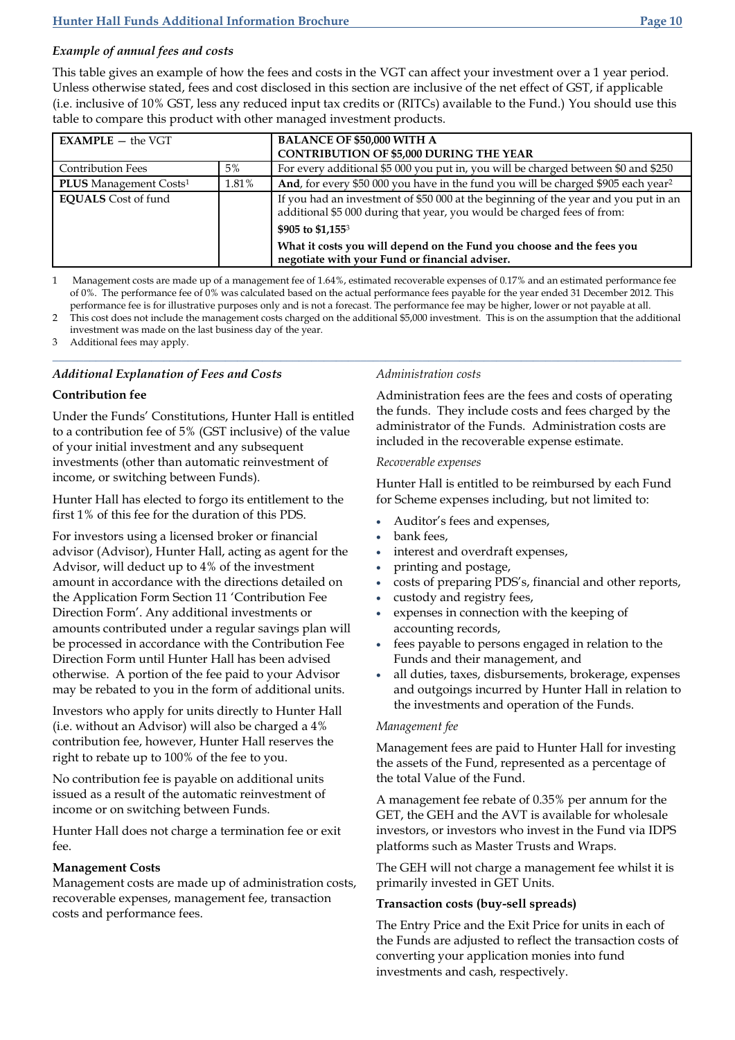# *Example of annual fees and costs*

This table gives an example of how the fees and costs in the VGT can affect your investment over a 1 year period. Unless otherwise stated, fees and cost disclosed in this section are inclusive of the net effect of GST, if applicable (i.e. inclusive of 10% GST, less any reduced input tax credits or (RITCs) available to the Fund.) You should use this table to compare this product with other managed investment products.

| $EXAMPLE -$ the VGT                       |       | <b>BALANCE OF \$50,000 WITH A</b><br><b>CONTRIBUTION OF \$5,000 DURING THE YEAR</b>                                                                            |
|-------------------------------------------|-------|----------------------------------------------------------------------------------------------------------------------------------------------------------------|
| <b>Contribution Fees</b>                  | 5%    | For every additional \$5 000 you put in, you will be charged between \$0 and \$250                                                                             |
| <b>PLUS</b> Management Costs <sup>1</sup> | 1.81% | And, for every \$50 000 you have in the fund you will be charged \$905 each year <sup>2</sup>                                                                  |
| <b>EQUALS</b> Cost of fund                |       | If you had an investment of \$50 000 at the beginning of the year and you put in an<br>additional \$5 000 during that year, you would be charged fees of from: |
|                                           |       | \$905 to \$1,155 <sup>3</sup>                                                                                                                                  |
|                                           |       | What it costs you will depend on the Fund you choose and the fees you<br>negotiate with your Fund or financial adviser.                                        |

1 Management costs are made up of a management fee of 1.64%, estimated recoverable expenses of 0.17% and an estimated performance fee of 0%. The performance fee of 0% was calculated based on the actual performance fees payable for the year ended 31 December 2012. This performance fee is for illustrative purposes only and is not a forecast. The performance fee may be higher, lower or not payable at all.

2 This cost does not include the management costs charged on the additional \$5,000 investment. This is on the assumption that the additional investment was made on the last business day of the year.

3 Additional fees may apply. **\_\_\_\_\_\_\_\_\_\_\_\_\_\_\_\_\_\_\_\_\_\_\_\_\_\_\_\_\_\_\_\_\_\_\_\_\_\_\_\_\_\_\_\_\_\_\_\_\_\_\_\_\_\_\_\_\_\_\_\_\_\_\_\_\_\_\_\_\_\_\_\_\_\_\_\_\_\_\_\_\_\_\_\_\_\_\_\_\_\_\_\_\_\_\_\_\_\_\_\_\_\_**

# *Additional Explanation of Fees and Costs*

# **Contribution fee**

Under the Funds' Constitutions, Hunter Hall is entitled to a contribution fee of 5% (GST inclusive) of the value of your initial investment and any subsequent investments (other than automatic reinvestment of income, or switching between Funds).

Hunter Hall has elected to forgo its entitlement to the first 1% of this fee for the duration of this PDS.

For investors using a licensed broker or financial advisor (Advisor), Hunter Hall, acting as agent for the Advisor, will deduct up to 4% of the investment amount in accordance with the directions detailed on the Application Form Section 11 'Contribution Fee Direction Form'. Any additional investments or amounts contributed under a regular savings plan will be processed in accordance with the Contribution Fee Direction Form until Hunter Hall has been advised otherwise. A portion of the fee paid to your Advisor may be rebated to you in the form of additional units.

Investors who apply for units directly to Hunter Hall (i.e. without an Advisor) will also be charged a 4% contribution fee, however, Hunter Hall reserves the right to rebate up to 100% of the fee to you.

No contribution fee is payable on additional units issued as a result of the automatic reinvestment of income or on switching between Funds.

Hunter Hall does not charge a termination fee or exit fee.

# **Management Costs**

Management costs are made up of administration costs, recoverable expenses, management fee, transaction costs and performance fees.

# *Administration costs*

Administration fees are the fees and costs of operating the funds. They include costs and fees charged by the administrator of the Funds. Administration costs are included in the recoverable expense estimate.

# *Recoverable expenses*

Hunter Hall is entitled to be reimbursed by each Fund for Scheme expenses including, but not limited to:

- Auditor's fees and expenses,
- bank fees,
- interest and overdraft expenses,
- printing and postage,
- costs of preparing PDS's, financial and other reports,
- custody and registry fees,
- expenses in connection with the keeping of accounting records,
- fees payable to persons engaged in relation to the Funds and their management, and
- all duties, taxes, disbursements, brokerage, expenses and outgoings incurred by Hunter Hall in relation to the investments and operation of the Funds.

# *Management fee*

Management fees are paid to Hunter Hall for investing the assets of the Fund, represented as a percentage of the total Value of the Fund.

A management fee rebate of 0.35% per annum for the GET, the GEH and the AVT is available for wholesale investors, or investors who invest in the Fund via IDPS platforms such as Master Trusts and Wraps.

The GEH will not charge a management fee whilst it is primarily invested in GET Units.

# **Transaction costs (buy-sell spreads)**

The Entry Price and the Exit Price for units in each of the Funds are adjusted to reflect the transaction costs of converting your application monies into fund investments and cash, respectively.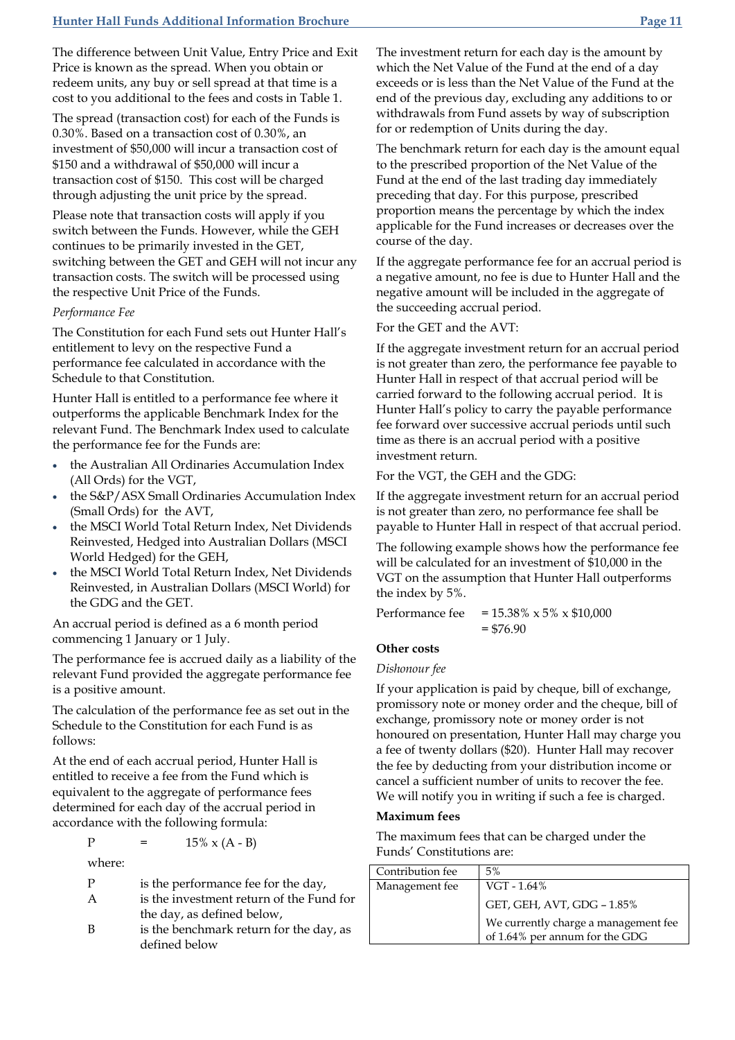The difference between Unit Value, Entry Price and Exit Price is known as the spread. When you obtain or redeem units, any buy or sell spread at that time is a cost to you additional to the fees and costs in Table 1.

The spread (transaction cost) for each of the Funds is 0.30%. Based on a transaction cost of 0.30%, an investment of \$50,000 will incur a transaction cost of \$150 and a withdrawal of \$50,000 will incur a transaction cost of \$150. This cost will be charged through adjusting the unit price by the spread.

Please note that transaction costs will apply if you switch between the Funds. However, while the GEH continues to be primarily invested in the GET, switching between the GET and GEH will not incur any transaction costs. The switch will be processed using the respective Unit Price of the Funds.

### *Performance Fee*

The Constitution for each Fund sets out Hunter Hall's entitlement to levy on the respective Fund a performance fee calculated in accordance with the Schedule to that Constitution.

Hunter Hall is entitled to a performance fee where it outperforms the applicable Benchmark Index for the relevant Fund. The Benchmark Index used to calculate the performance fee for the Funds are:

- the Australian All Ordinaries Accumulation Index (All Ords) for the VGT,
- the S&P/ASX Small Ordinaries Accumulation Index (Small Ords) for the AVT,
- the MSCI World Total Return Index, Net Dividends Reinvested, Hedged into Australian Dollars (MSCI World Hedged) for the GEH,
- the MSCI World Total Return Index, Net Dividends Reinvested, in Australian Dollars (MSCI World) for the GDG and the GET.

An accrual period is defined as a 6 month period commencing 1 January or 1 July.

The performance fee is accrued daily as a liability of the relevant Fund provided the aggregate performance fee is a positive amount.

The calculation of the performance fee as set out in the Schedule to the Constitution for each Fund is as follows:

At the end of each accrual period, Hunter Hall is entitled to receive a fee from the Fund which is equivalent to the aggregate of performance fees determined for each day of the accrual period in accordance with the following formula:

P =  $15\% \times (A - B)$ 

where:

P is the performance fee for the day,

- A is the investment return of the Fund for the day, as defined below,
- B is the benchmark return for the day, as defined below

The investment return for each day is the amount by which the Net Value of the Fund at the end of a day exceeds or is less than the Net Value of the Fund at the end of the previous day, excluding any additions to or withdrawals from Fund assets by way of subscription for or redemption of Units during the day.

The benchmark return for each day is the amount equal to the prescribed proportion of the Net Value of the Fund at the end of the last trading day immediately preceding that day. For this purpose, prescribed proportion means the percentage by which the index applicable for the Fund increases or decreases over the course of the day.

If the aggregate performance fee for an accrual period is a negative amount, no fee is due to Hunter Hall and the negative amount will be included in the aggregate of the succeeding accrual period.

For the GET and the AVT:

If the aggregate investment return for an accrual period is not greater than zero, the performance fee payable to Hunter Hall in respect of that accrual period will be carried forward to the following accrual period. It is Hunter Hall's policy to carry the payable performance fee forward over successive accrual periods until such time as there is an accrual period with a positive investment return.

For the VGT, the GEH and the GDG:

If the aggregate investment return for an accrual period is not greater than zero, no performance fee shall be payable to Hunter Hall in respect of that accrual period.

The following example shows how the performance fee will be calculated for an investment of \$10,000 in the VGT on the assumption that Hunter Hall outperforms the index by 5%.

Performance fee =  $15.38\% \times 5\% \times $10,000$  $= $76.90$ 

# **Other costs**

*Dishonour fee*

If your application is paid by cheque, bill of exchange, promissory note or money order and the cheque, bill of exchange, promissory note or money order is not honoured on presentation, Hunter Hall may charge you a fee of twenty dollars (\$20). Hunter Hall may recover the fee by deducting from your distribution income or cancel a sufficient number of units to recover the fee. We will notify you in writing if such a fee is charged.

### **Maximum fees**

The maximum fees that can be charged under the Funds' Constitutions are:

| Contribution fee | 5%                                   |
|------------------|--------------------------------------|
| Management fee   | VGT - 1.64%                          |
|                  | GET, GEH, AVT, GDG - 1.85%           |
|                  | We currently charge a management fee |
|                  | of 1.64% per annum for the GDG       |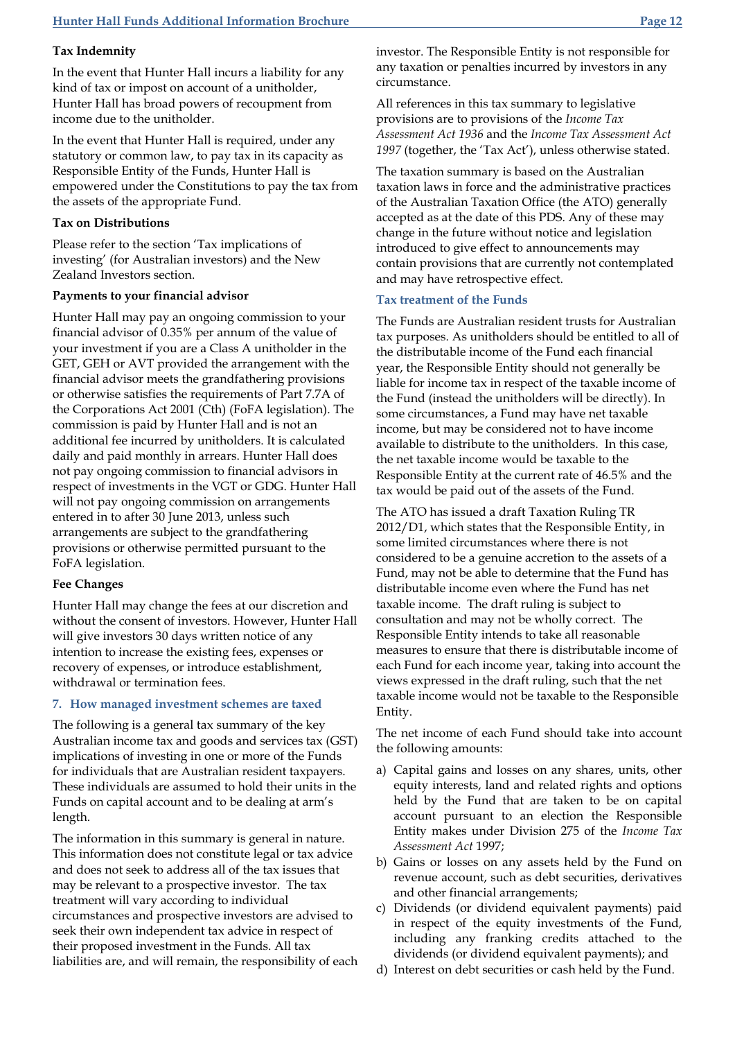### **Tax Indemnity**

In the event that Hunter Hall incurs a liability for any kind of tax or impost on account of a unitholder, Hunter Hall has broad powers of recoupment from income due to the unitholder.

In the event that Hunter Hall is required, under any statutory or common law, to pay tax in its capacity as Responsible Entity of the Funds, Hunter Hall is empowered under the Constitutions to pay the tax from the assets of the appropriate Fund.

# **Tax on Distributions**

Please refer to the section 'Tax implications of investing' (for Australian investors) and the New Zealand Investors section.

### **Payments to your financial advisor**

Hunter Hall may pay an ongoing commission to your financial advisor of 0.35% per annum of the value of your investment if you are a Class A unitholder in the GET, GEH or AVT provided the arrangement with the financial advisor meets the grandfathering provisions or otherwise satisfies the requirements of Part 7.7A of the Corporations Act 2001 (Cth) (FoFA legislation). The commission is paid by Hunter Hall and is not an additional fee incurred by unitholders. It is calculated daily and paid monthly in arrears. Hunter Hall does not pay ongoing commission to financial advisors in respect of investments in the VGT or GDG. Hunter Hall will not pay ongoing commission on arrangements entered in to after 30 June 2013, unless such arrangements are subject to the grandfathering provisions or otherwise permitted pursuant to the FoFA legislation.

#### **Fee Changes**

Hunter Hall may change the fees at our discretion and without the consent of investors. However, Hunter Hall will give investors 30 days written notice of any intention to increase the existing fees, expenses or recovery of expenses, or introduce establishment, withdrawal or termination fees.

#### **7. How managed investment schemes are taxed**

The following is a general tax summary of the key Australian income tax and goods and services tax (GST) implications of investing in one or more of the Funds for individuals that are Australian resident taxpayers. These individuals are assumed to hold their units in the Funds on capital account and to be dealing at arm's length.

The information in this summary is general in nature. This information does not constitute legal or tax advice and does not seek to address all of the tax issues that may be relevant to a prospective investor. The tax treatment will vary according to individual circumstances and prospective investors are advised to seek their own independent tax advice in respect of their proposed investment in the Funds. All tax liabilities are, and will remain, the responsibility of each investor. The Responsible Entity is not responsible for any taxation or penalties incurred by investors in any circumstance.

All references in this tax summary to legislative provisions are to provisions of the *Income Tax Assessment Act 1936* and the *Income Tax Assessment Act 1997* (together, the 'Tax Act'), unless otherwise stated.

The taxation summary is based on the Australian taxation laws in force and the administrative practices of the Australian Taxation Office (the ATO) generally accepted as at the date of this PDS. Any of these may change in the future without notice and legislation introduced to give effect to announcements may contain provisions that are currently not contemplated and may have retrospective effect.

# **Tax treatment of the Funds**

The Funds are Australian resident trusts for Australian tax purposes. As unitholders should be entitled to all of the distributable income of the Fund each financial year, the Responsible Entity should not generally be liable for income tax in respect of the taxable income of the Fund (instead the unitholders will be directly). In some circumstances, a Fund may have net taxable income, but may be considered not to have income available to distribute to the unitholders. In this case, the net taxable income would be taxable to the Responsible Entity at the current rate of 46.5% and the tax would be paid out of the assets of the Fund.

The ATO has issued a draft Taxation Ruling TR 2012/D1, which states that the Responsible Entity, in some limited circumstances where there is not considered to be a genuine accretion to the assets of a Fund, may not be able to determine that the Fund has distributable income even where the Fund has net taxable income. The draft ruling is subject to consultation and may not be wholly correct. The Responsible Entity intends to take all reasonable measures to ensure that there is distributable income of each Fund for each income year, taking into account the views expressed in the draft ruling, such that the net taxable income would not be taxable to the Responsible Entity.

The net income of each Fund should take into account the following amounts:

- a) Capital gains and losses on any shares, units, other equity interests, land and related rights and options held by the Fund that are taken to be on capital account pursuant to an election the Responsible Entity makes under Division 275 of the *Income Tax Assessment Act* 1997;
- b) Gains or losses on any assets held by the Fund on revenue account, such as debt securities, derivatives and other financial arrangements;
- c) Dividends (or dividend equivalent payments) paid in respect of the equity investments of the Fund, including any franking credits attached to the dividends (or dividend equivalent payments); and
- d) Interest on debt securities or cash held by the Fund.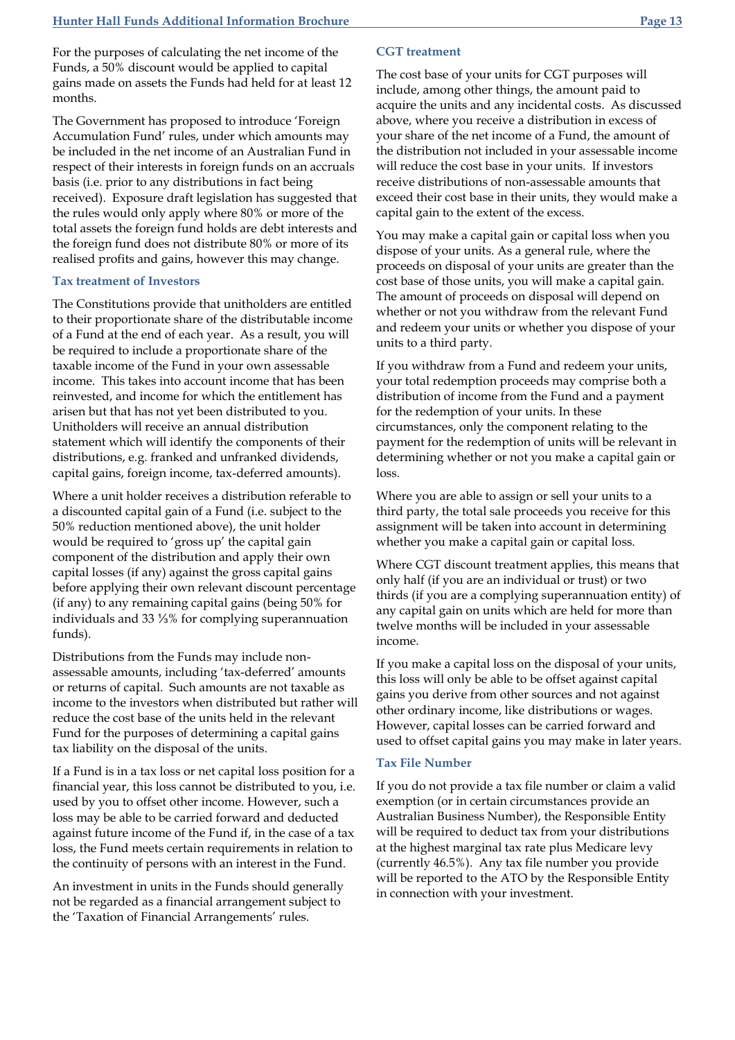For the purposes of calculating the net income of the Funds, a 50% discount would be applied to capital gains made on assets the Funds had held for at least 12 months.

The Government has proposed to introduce 'Foreign Accumulation Fund' rules, under which amounts may be included in the net income of an Australian Fund in respect of their interests in foreign funds on an accruals basis (i.e. prior to any distributions in fact being received). Exposure draft legislation has suggested that the rules would only apply where 80% or more of the total assets the foreign fund holds are debt interests and the foreign fund does not distribute 80% or more of its realised profits and gains, however this may change.

### **Tax treatment of Investors**

The Constitutions provide that unitholders are entitled to their proportionate share of the distributable income of a Fund at the end of each year. As a result, you will be required to include a proportionate share of the taxable income of the Fund in your own assessable income. This takes into account income that has been reinvested, and income for which the entitlement has arisen but that has not yet been distributed to you. Unitholders will receive an annual distribution statement which will identify the components of their distributions, e.g. franked and unfranked dividends, capital gains, foreign income, tax-deferred amounts).

Where a unit holder receives a distribution referable to a discounted capital gain of a Fund (i.e. subject to the 50% reduction mentioned above), the unit holder would be required to 'gross up' the capital gain component of the distribution and apply their own capital losses (if any) against the gross capital gains before applying their own relevant discount percentage (if any) to any remaining capital gains (being 50% for individuals and 33 ⅓% for complying superannuation funds).

Distributions from the Funds may include nonassessable amounts, including 'tax-deferred' amounts or returns of capital. Such amounts are not taxable as income to the investors when distributed but rather will reduce the cost base of the units held in the relevant Fund for the purposes of determining a capital gains tax liability on the disposal of the units.

If a Fund is in a tax loss or net capital loss position for a financial year, this loss cannot be distributed to you, i.e. used by you to offset other income. However, such a loss may be able to be carried forward and deducted against future income of the Fund if, in the case of a tax loss, the Fund meets certain requirements in relation to the continuity of persons with an interest in the Fund.

An investment in units in the Funds should generally not be regarded as a financial arrangement subject to the 'Taxation of Financial Arrangements' rules.

### **CGT treatment**

The cost base of your units for CGT purposes will include, among other things, the amount paid to acquire the units and any incidental costs. As discussed above, where you receive a distribution in excess of your share of the net income of a Fund, the amount of the distribution not included in your assessable income will reduce the cost base in your units. If investors receive distributions of non-assessable amounts that exceed their cost base in their units, they would make a capital gain to the extent of the excess.

You may make a capital gain or capital loss when you dispose of your units. As a general rule, where the proceeds on disposal of your units are greater than the cost base of those units, you will make a capital gain. The amount of proceeds on disposal will depend on whether or not you withdraw from the relevant Fund and redeem your units or whether you dispose of your units to a third party.

If you withdraw from a Fund and redeem your units, your total redemption proceeds may comprise both a distribution of income from the Fund and a payment for the redemption of your units. In these circumstances, only the component relating to the payment for the redemption of units will be relevant in determining whether or not you make a capital gain or loss.

Where you are able to assign or sell your units to a third party, the total sale proceeds you receive for this assignment will be taken into account in determining whether you make a capital gain or capital loss.

Where CGT discount treatment applies, this means that only half (if you are an individual or trust) or two thirds (if you are a complying superannuation entity) of any capital gain on units which are held for more than twelve months will be included in your assessable income.

If you make a capital loss on the disposal of your units, this loss will only be able to be offset against capital gains you derive from other sources and not against other ordinary income, like distributions or wages. However, capital losses can be carried forward and used to offset capital gains you may make in later years.

#### **Tax File Number**

If you do not provide a tax file number or claim a valid exemption (or in certain circumstances provide an Australian Business Number), the Responsible Entity will be required to deduct tax from your distributions at the highest marginal tax rate plus Medicare levy (currently 46.5%). Any tax file number you provide will be reported to the ATO by the Responsible Entity in connection with your investment.